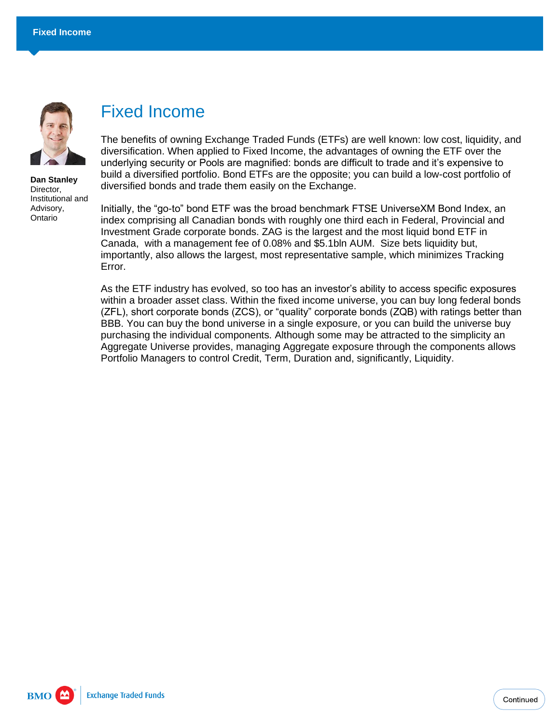

**Dan Stanley** Director, Institutional and Advisory, Ontario

## Fixed Income

The benefits of owning Exchange Traded Funds (ETFs) are well known: low cost, liquidity, and diversification. When applied to Fixed Income, the advantages of owning the ETF over the underlying security or Pools are magnified: bonds are difficult to trade and it's expensive to build a diversified portfolio. Bond ETFs are the opposite; you can build a low-cost portfolio of diversified bonds and trade them easily on the Exchange.

Initially, the "go-to" bond ETF was the broad benchmark FTSE UniverseXM Bond Index, an index comprising all Canadian bonds with roughly one third each in Federal, Provincial and Investment Grade corporate bonds. ZAG is the largest and the most liquid bond ETF in Canada, with a management fee of 0.08% and \$5.1bln AUM. Size bets liquidity but, importantly, also allows the largest, most representative sample, which minimizes Tracking Error.

As the ETF industry has evolved, so too has an investor's ability to access specific exposures within a broader asset class. Within the fixed income universe, you can buy long federal bonds (ZFL), short corporate bonds (ZCS), or "quality" corporate bonds (ZQB) with ratings better than BBB. You can buy the bond universe in a single exposure, or you can build the universe buy purchasing the individual components. Although some may be attracted to the simplicity an Aggregate Universe provides, managing Aggregate exposure through the components allows Portfolio Managers to control Credit, Term, Duration and, significantly, Liquidity.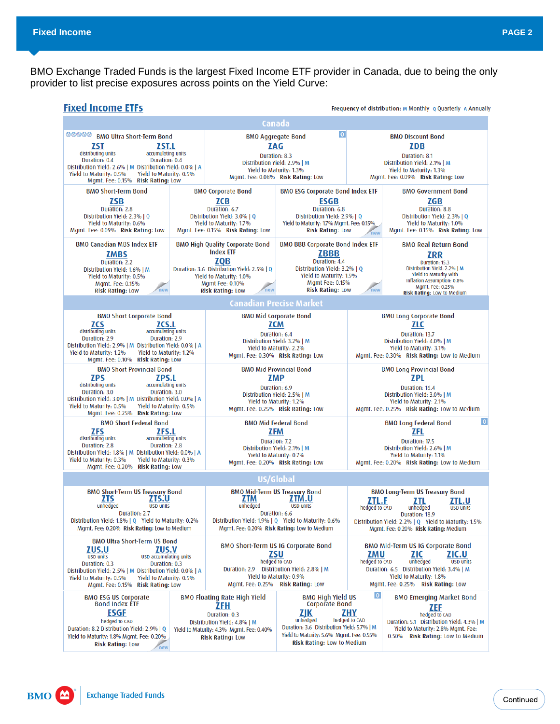BMO Exchange Traded Funds is the largest Fixed Income ETF provider in Canada, due to being the only provider to list precise exposures across points on the Yield Curve: